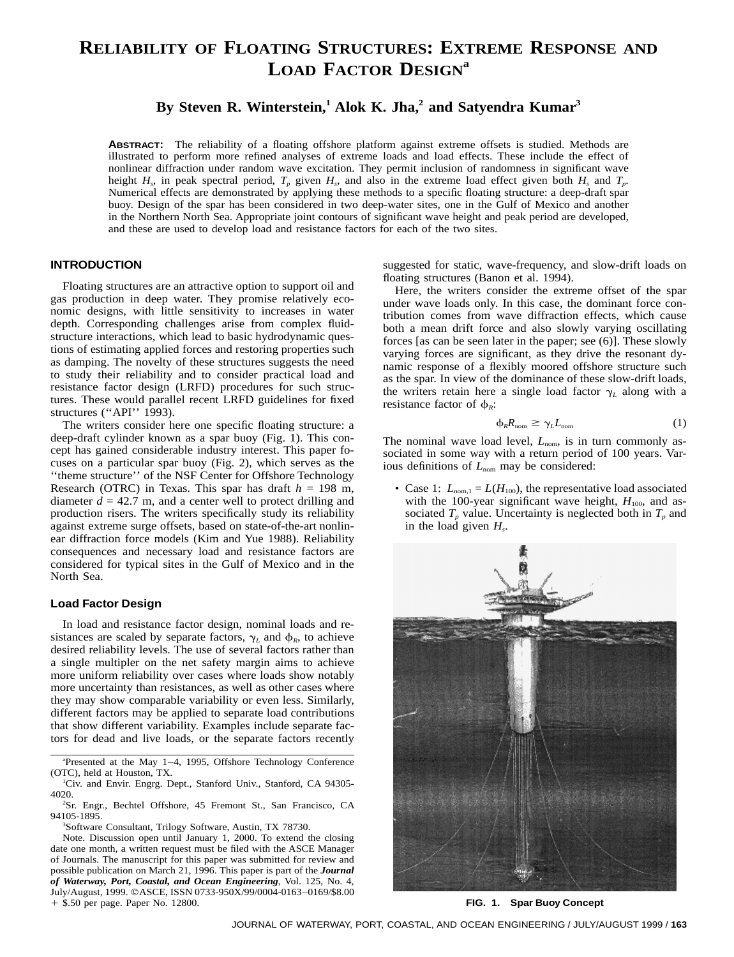# **RELIABILITY OF FLOATING STRUCTURES: EXTREME RESPONSE AND LOAD FACTOR DESIGN<sup>a</sup>**

# By Steven R. Winterstein,<sup>1</sup> Alok K. Jha,<sup>2</sup> and Satyendra Kumar<sup>3</sup>

**ABSTRACT:** The reliability of a floating offshore platform against extreme offsets is studied. Methods are illustrated to perform more refined analyses of extreme loads and load effects. These include the effect of nonlinear diffraction under random wave excitation. They permit inclusion of randomness in significant wave height  $H_s$ , in peak spectral period,  $T_p$  given  $H_s$ , and also in the extreme load effect given both  $H_s$  and  $T_p$ . Numerical effects are demonstrated by applying these methods to a specific floating structure: a deep-draft spar buoy. Design of the spar has been considered in two deep-water sites, one in the Gulf of Mexico and another in the Northern North Sea. Appropriate joint contours of significant wave height and peak period are developed, and these are used to develop load and resistance factors for each of the two sites.

# **INTRODUCTION**

Floating structures are an attractive option to support oil and gas production in deep water. They promise relatively economic designs, with little sensitivity to increases in water depth. Corresponding challenges arise from complex fluidstructure interactions, which lead to basic hydrodynamic questions of estimating applied forces and restoring properties such as damping. The novelty of these structures suggests the need to study their reliability and to consider practical load and resistance factor design (LRFD) procedures for such structures. These would parallel recent LRFD guidelines for fixed structures ("API" 1993).

The writers consider here one specific floating structure: a deep-draft cylinder known as a spar buoy (Fig. 1). This concept has gained considerable industry interest. This paper focuses on a particular spar buoy (Fig. 2), which serves as the ''theme structure'' of the NSF Center for Offshore Technology Research (OTRC) in Texas. This spar has draft  $h = 198$  m, diameter  $d = 42.7$  m, and a center well to protect drilling and production risers. The writers specifically study its reliability against extreme surge offsets, based on state-of-the-art nonlinear diffraction force models (Kim and Yue 1988). Reliability consequences and necessary load and resistance factors are considered for typical sites in the Gulf of Mexico and in the North Sea.

# **Load Factor Design**

In load and resistance factor design, nominal loads and resistances are scaled by separate factors,  $\gamma_L$  and  $\phi_R$ , to achieve desired reliability levels. The use of several factors rather than a single multipler on the net safety margin aims to achieve more uniform reliability over cases where loads show notably more uncertainty than resistances, as well as other cases where they may show comparable variability or even less. Similarly, different factors may be applied to separate load contributions that show different variability. Examples include separate factors for dead and live loads, or the separate factors recently

Note. Discussion open until January 1, 2000. To extend the closing date one month, a written request must be filed with the ASCE Manager of Journals. The manuscript for this paper was submitted for review and possible publication on March 21, 1996. This paper is part of the *Journal of Waterway, Port, Coastal, and Ocean Engineering*, Vol. 125, No. 4, July/August, 1999. qASCE, ISSN 0733-950X/99/0004-0163–0169/\$8.00  $+$  \$.50 per page. Paper No. 12800.

suggested for static, wave-frequency, and slow-drift loads on floating structures (Banon et al. 1994).

Here, the writers consider the extreme offset of the spar under wave loads only. In this case, the dominant force contribution comes from wave diffraction effects, which cause both a mean drift force and also slowly varying oscillating forces [as can be seen later in the paper; see (6)]. These slowly varying forces are significant, as they drive the resonant dynamic response of a flexibly moored offshore structure such as the spar. In view of the dominance of these slow-drift loads, the writers retain here a single load factor  $\gamma_L$  along with a resistance factor of  $\phi_R$ :

$$
\phi_R R_{\text{nom}} \ge \gamma_L L_{\text{nom}} \tag{1}
$$

The nominal wave load level,  $L_{nom}$ , is in turn commonly associated in some way with a return period of 100 years. Various definitions of  $L_{nom}$  may be considered:

• Case 1:  $L_{nom,1} = L(H_{100})$ , the representative load associated with the 100-year significant wave height,  $H_{100}$ , and associated  $T_p$  value. Uncertainty is neglected both in  $T_p$  and in the load given  $H_s$ .



**FIG. 1. Spar Buoy Concept**

a Presented at the May 1–4, 1995, Offshore Technology Conference (OTC), held at Houston, TX. <sup>1</sup>

Civ. and Envir. Engrg. Dept., Stanford Univ., Stanford, CA 94305- 4020. <sup>2</sup>

<sup>&</sup>lt;sup>2</sup>Sr. Engr., Bechtel Offshore, 45 Fremont St., San Francisco, CA 94105-1895. <sup>3</sup>

<sup>&</sup>lt;sup>3</sup>Software Consultant, Trilogy Software, Austin, TX 78730.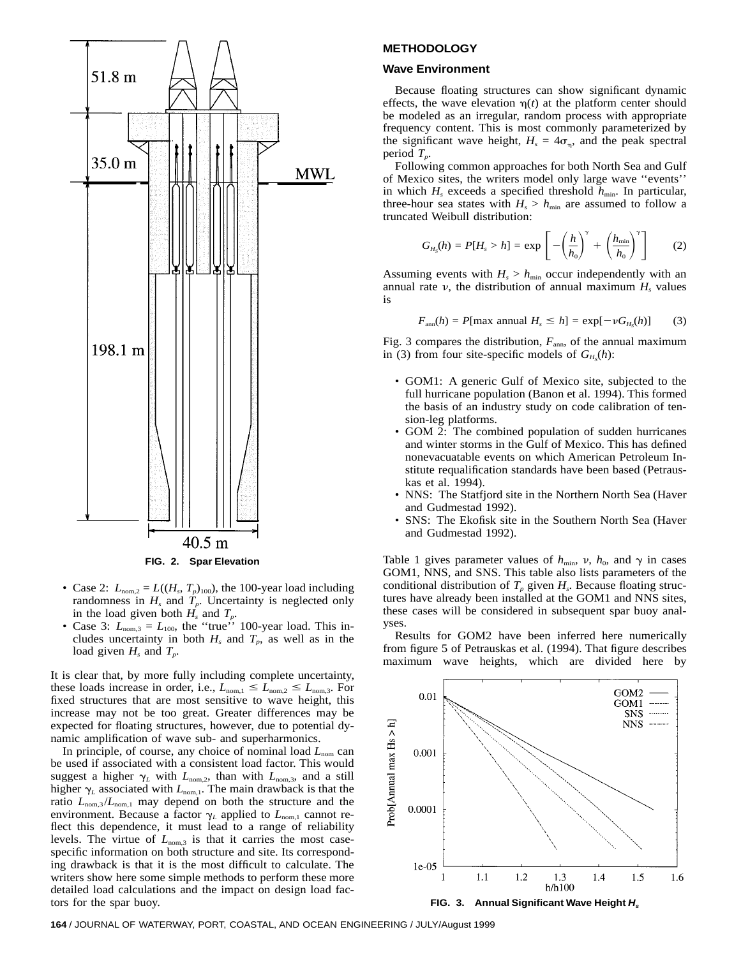

- Case 2:  $L_{\text{nom,2}} = L((H_s, T_p)_{100})$ , the 100-year load including randomness in  $H_s$  and  $T_p$ . Uncertainty is neglected only in the load given both  $H_s$  and  $T_p$ .
- Case 3:  $L_{\text{nom,3}} = L_{100}$ , the "true" 100-year load. This includes uncertainty in both  $H_s$  and  $T_p$ , as well as in the load given  $H_s$  and  $T_p$ .

It is clear that, by more fully including complete uncertainty, these loads increase in order, i.e.,  $L_{nom,1} \leq L_{nom,2} \leq L_{nom,3}$ . For fixed structures that are most sensitive to wave height, this increase may not be too great. Greater differences may be expected for floating structures, however, due to potential dynamic amplification of wave sub- and superharmonics.

In principle, of course, any choice of nominal load  $L_{nom}$  can be used if associated with a consistent load factor. This would suggest a higher  $\gamma_L$  with  $L_{\text{nom},2}$ , than with  $L_{\text{nom},3}$ , and a still higher  $\gamma_L$  associated with *L*<sub>nom,1</sub>. The main drawback is that the ratio  $L_{nom,3}/L_{nom,1}$  may depend on both the structure and the environment. Because a factor  $\gamma_L$  applied to  $L_{nom,1}$  cannot reflect this dependence, it must lead to a range of reliability levels. The virtue of  $L_{\text{nom,3}}$  is that it carries the most casespecific information on both structure and site. Its corresponding drawback is that it is the most difficult to calculate. The writers show here some simple methods to perform these more detailed load calculations and the impact on design load factors for the spar buoy.

### **METHODOLOGY**

#### **Wave Environment**

Because floating structures can show significant dynamic effects, the wave elevation  $\eta(t)$  at the platform center should be modeled as an irregular, random process with appropriate frequency content. This is most commonly parameterized by the significant wave height,  $H_s = 4\sigma_n$ , and the peak spectral period *Tp*.

Following common approaches for both North Sea and Gulf of Mexico sites, the writers model only large wave ''events'' in which  $H_s$  exceeds a specified threshold  $h_{\min}$ . In particular, three-hour sea states with  $H_s > h_{\text{min}}$  are assumed to follow a truncated Weibull distribution:

$$
G_{H_S}(h) = P[H_s > h] = \exp\left[-\left(\frac{h}{h_0}\right)^{\gamma} + \left(\frac{h_{\min}}{h_0}\right)^{\gamma}\right]
$$
 (2)

Assuming events with  $H_s > h_{\min}$  occur independently with an annual rate  $\nu$ , the distribution of annual maximum  $H_s$  values is

$$
F_{\text{ann}}(h) = P[\text{max annual } H_s \le h] = \exp[-\nu G_{H_s}(h)] \tag{3}
$$

Fig. 3 compares the distribution,  $F_{\text{ann}}$ , of the annual maximum in (3) from four site-specific models of  $G_{H_S}(h)$ :

- GOM1: A generic Gulf of Mexico site, subjected to the full hurricane population (Banon et al. 1994). This formed the basis of an industry study on code calibration of tension-leg platforms.
- GOM 2: The combined population of sudden hurricanes and winter storms in the Gulf of Mexico. This has defined nonevacuatable events on which American Petroleum Institute requalification standards have been based (Petrauskas et al. 1994).
- NNS: The Statfjord site in the Northern North Sea (Haver and Gudmestad 1992).
- SNS: The Ekofisk site in the Southern North Sea (Haver and Gudmestad 1992).

Table 1 gives parameter values of  $h_{\text{min}}$ ,  $v$ ,  $h_0$ , and  $\gamma$  in cases GOM1, NNS, and SNS. This table also lists parameters of the conditional distribution of  $T_p$  given  $H_s$ . Because floating structures have already been installed at the GOM1 and NNS sites, these cases will be considered in subsequent spar buoy analyses.

Results for GOM2 have been inferred here numerically from figure 5 of Petrauskas et al. (1994). That figure describes maximum wave heights, which are divided here by

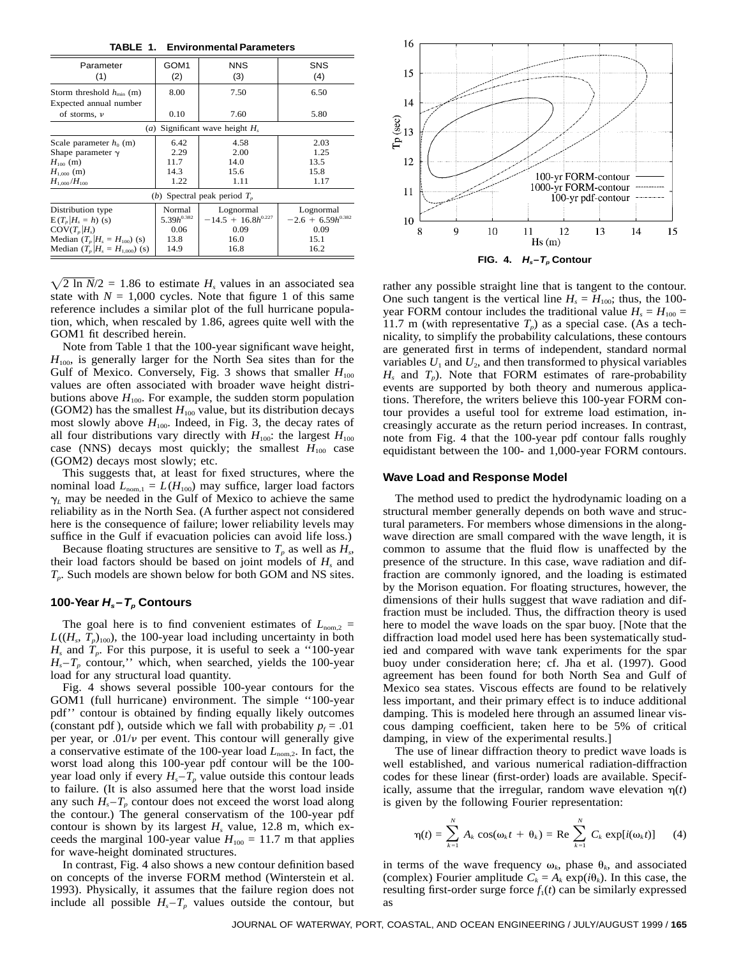**TABLE 1. Environmental Parameters**

| Parameter<br>(1)                  | GOM <sub>1</sub><br>(2) | <b>NNS</b><br>(3)       | <b>SNS</b><br>(4)      |
|-----------------------------------|-------------------------|-------------------------|------------------------|
| Storm threshold $h_{\min}$ (m)    | 8.00                    | 7.50                    | 6.50                   |
| Expected annual number            |                         |                         |                        |
| of storms, $\nu$                  | 0.10                    | 7.60                    | 5.80                   |
| (a) Significant wave height $H_s$ |                         |                         |                        |
| Scale parameter $h_0$ (m)         | 6.42                    | 4.58                    | 2.03                   |
| Shape parameter $\gamma$          | 2.29                    | 2.00                    | 1.25                   |
| $H_{100}$ (m)                     | 11.7                    | 14.0                    | 13.5                   |
| $H_{1000}$ (m)                    | 14.3                    | 15.6                    | 15.8                   |
| $H_{1.000}/H_{100}$               | 1.22                    | 1.11                    | 1.17                   |
| (b) Spectral peak period $T_n$    |                         |                         |                        |
| Distribution type                 | Normal                  | Lognormal               | Lognormal              |
| $E(T_n H_s = h)$ (s)              | 5.39 $h^{0.382}$        | $-14.5 + 16.8h^{0.227}$ | $-2.6 + 6.59h^{0.382}$ |
| $COV(T_n H_s)$                    | 0.06                    | 0.09                    | 0.09                   |
| Median $(T_p H_s = H_{100})$ (s)  | 13.8                    | 16.0                    | 15.1                   |
| Median $(T_p H_s = H_{1000})$ (s) | 14.9                    | 16.8                    | 16.2                   |

 $\sqrt{2}$  ln *N*/2 = 1.86 to estimate *H<sub>s</sub>* values in an associated sea state with  $N = 1,000$  cycles. Note that figure 1 of this same reference includes a similar plot of the full hurricane population, which, when rescaled by 1.86, agrees quite well with the GOM1 fit described herein.

Note from Table 1 that the 100-year significant wave height,  $H_{100}$ , is generally larger for the North Sea sites than for the Gulf of Mexico. Conversely, Fig. 3 shows that smaller  $H_{100}$ values are often associated with broader wave height distributions above  $H_{100}$ . For example, the sudden storm population (GOM2) has the smallest  $H_{100}$  value, but its distribution decays most slowly above  $H_{100}$ . Indeed, in Fig. 3, the decay rates of all four distributions vary directly with  $H_{100}$ : the largest  $H_{100}$ case (NNS) decays most quickly; the smallest  $H_{100}$  case (GOM2) decays most slowly; etc.

This suggests that, at least for fixed structures, where the nominal load  $L_{nom,1} = L(H_{100})$  may suffice, larger load factors  $\gamma_L$  may be needed in the Gulf of Mexico to achieve the same reliability as in the North Sea. (A further aspect not considered here is the consequence of failure; lower reliability levels may suffice in the Gulf if evacuation policies can avoid life loss.)

Because floating structures are sensitive to  $T_p$  as well as  $H_s$ , their load factors should be based on joint models of *Hs* and *Tp*. Such models are shown below for both GOM and NS sites.

# **100-Year**  $H_s - T_p$  **Contours**

The goal here is to find convenient estimates of  $L_{\text{nom,2}} =$  $L((H_s, T_p)_{100})$ , the 100-year load including uncertainty in both  $H_s$  and  $T_p$ . For this purpose, it is useful to seek a "100-year"  $H_s - T_p$  contour," which, when searched, yields the 100-year load for any structural load quantity.

Fig. 4 shows several possible 100-year contours for the GOM1 (full hurricane) environment. The simple ''100-year pdf'' contour is obtained by finding equally likely outcomes (constant pdf), outside which we fall with probability  $p_f = .01$ per year, or  $.01/\nu$  per event. This contour will generally give a conservative estimate of the 100-year load *L*nom,2. In fact, the worst load along this 100-year pdf contour will be the 100 year load only if every  $H_s - T_p$  value outside this contour leads to failure. (It is also assumed here that the worst load inside any such  $H_s - T_p$  contour does not exceed the worst load along the contour.) The general conservatism of the 100-year pdf contour is shown by its largest  $H_s$  value, 12.8 m, which exceeds the marginal 100-year value  $H_{100} = 11.7$  m that applies for wave-height dominated structures.

In contrast, Fig. 4 also shows a new contour definition based on concepts of the inverse FORM method (Winterstein et al. 1993). Physically, it assumes that the failure region does not include all possible  $H_s - T_p$  values outside the contour, but



rather any possible straight line that is tangent to the contour. One such tangent is the vertical line  $H_s = H_{100}$ ; thus, the 100year FORM contour includes the traditional value  $H_s = H_{100} =$ 11.7 m (with representative  $T_p$ ) as a special case. (As a technicality, to simplify the probability calculations, these contours are generated first in terms of independent, standard normal variables  $U_1$  and  $U_2$ , and then transformed to physical variables  $H_s$  and  $T_p$ ). Note that FORM estimates of rare-probability events are supported by both theory and numerous applications. Therefore, the writers believe this 100-year FORM contour provides a useful tool for extreme load estimation, increasingly accurate as the return period increases. In contrast, note from Fig. 4 that the 100-year pdf contour falls roughly equidistant between the 100- and 1,000-year FORM contours.

#### **Wave Load and Response Model**

The method used to predict the hydrodynamic loading on a structural member generally depends on both wave and structural parameters. For members whose dimensions in the alongwave direction are small compared with the wave length, it is common to assume that the fluid flow is unaffected by the presence of the structure. In this case, wave radiation and diffraction are commonly ignored, and the loading is estimated by the Morison equation. For floating structures, however, the dimensions of their hulls suggest that wave radiation and diffraction must be included. Thus, the diffraction theory is used here to model the wave loads on the spar buoy. [Note that the diffraction load model used here has been systematically studied and compared with wave tank experiments for the spar buoy under consideration here; cf. Jha et al. (1997). Good agreement has been found for both North Sea and Gulf of Mexico sea states. Viscous effects are found to be relatively less important, and their primary effect is to induce additional damping. This is modeled here through an assumed linear viscous damping coefficient, taken here to be 5% of critical damping, in view of the experimental results.]

The use of linear diffraction theory to predict wave loads is well established, and various numerical radiation-diffraction codes for these linear (first-order) loads are available. Specifically, assume that the irregular, random wave elevation  $\eta(t)$ is given by the following Fourier representation:

$$
\eta(t) = \sum_{k=1}^{N} A_k \cos(\omega_k t + \theta_k) = \text{Re} \sum_{k=1}^{N} C_k \exp[i(\omega_k t)] \qquad (4)
$$

in terms of the wave frequency  $\omega_k$ , phase  $\theta_k$ , and associated (complex) Fourier amplitude  $C_k = A_k \exp(i\theta_k)$ . In this case, the resulting first-order surge force  $f_1(t)$  can be similarly expressed as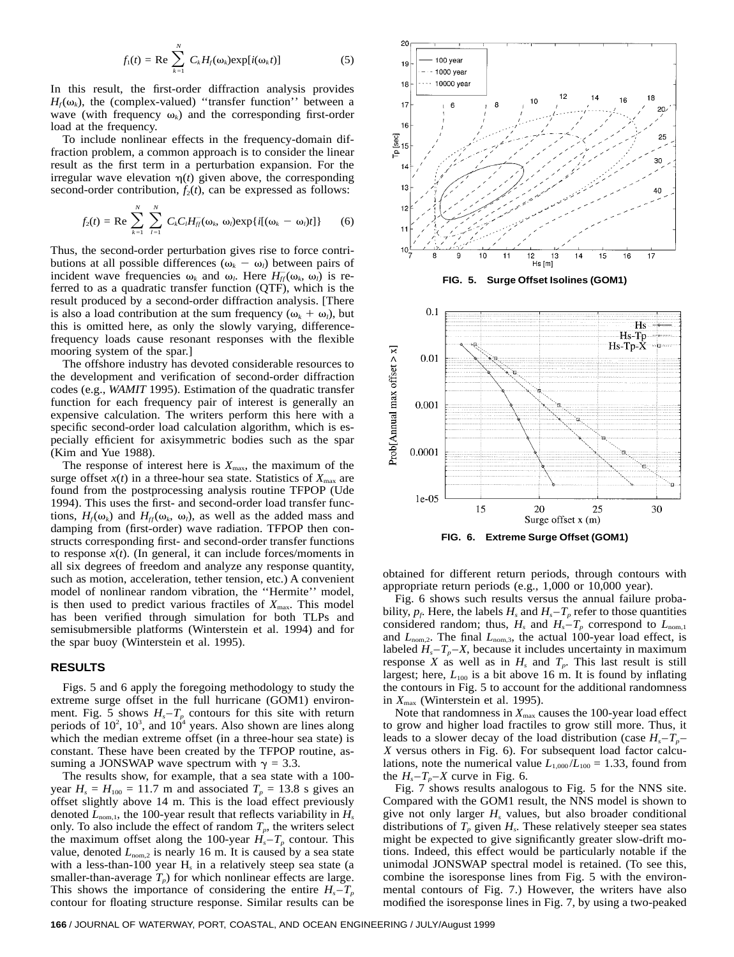$$
f_1(t) = \text{Re} \sum_{k=1}^{N} C_k H_j(\omega_k) \exp[i(\omega_k t)] \tag{5}
$$

In this result, the first-order diffraction analysis provides  $H_f(\omega_k)$ , the (complex-valued) "transfer function" between a wave (with frequency  $\omega_k$ ) and the corresponding first-order load at the frequency.

To include nonlinear effects in the frequency-domain diffraction problem, a common approach is to consider the linear result as the first term in a perturbation expansion. For the irregular wave elevation  $\eta(t)$  given above, the corresponding second-order contribution,  $f_2(t)$ , can be expressed as follows:

$$
f_2(t) = \text{Re} \sum_{k=1}^N \sum_{l=1}^N C_k C_l H_{lj}^-(\omega_k, \omega_l) \exp\{i[(\omega_k - \omega_l)t]\} \qquad (6)
$$

Thus, the second-order perturbation gives rise to force contributions at all possible differences  $(\omega_k - \omega_l)$  between pairs of incident wave frequencies  $\omega_k$  and  $\omega_l$ . Here  $H_f^-(\omega_k, \omega_l)$  is referred to as a quadratic transfer function (QTF), which is the result produced by a second-order diffraction analysis. [There is also a load contribution at the sum frequency  $(\omega_k + \omega_l)$ , but this is omitted here, as only the slowly varying, differencefrequency loads cause resonant responses with the flexible mooring system of the spar.]

The offshore industry has devoted considerable resources to the development and verification of second-order diffraction codes (e.g., *WAMIT* 1995). Estimation of the quadratic transfer function for each frequency pair of interest is generally an expensive calculation. The writers perform this here with a specific second-order load calculation algorithm, which is especially efficient for axisymmetric bodies such as the spar (Kim and Yue 1988).

The response of interest here is  $X_{\text{max}}$ , the maximum of the surge offset  $x(t)$  in a three-hour sea state. Statistics of  $X_{\text{max}}$  are found from the postprocessing analysis routine TFPOP (Ude 1994). This uses the first- and second-order load transfer functions,  $H_f(\omega_k)$  and  $H_f(\omega_k, \omega_l)$ , as well as the added mass and damping from (first-order) wave radiation. TFPOP then constructs corresponding first- and second-order transfer functions to response  $x(t)$ . (In general, it can include forces/moments in all six degrees of freedom and analyze any response quantity, such as motion, acceleration, tether tension, etc.) A convenient model of nonlinear random vibration, the ''Hermite'' model, is then used to predict various fractiles of  $X_{\text{max}}$ . This model has been verified through simulation for both TLPs and semisubmersible platforms (Winterstein et al. 1994) and for the spar buoy (Winterstein et al. 1995).

# **RESULTS**

Figs. 5 and 6 apply the foregoing methodology to study the extreme surge offset in the full hurricane (GOM1) environment. Fig. 5 shows  $H_s - T_p$  contours for this site with return periods of  $10^2$ ,  $10^3$ , and  $10^4$  years. Also shown are lines along which the median extreme offset (in a three-hour sea state) is constant. These have been created by the TFPOP routine, assuming a JONSWAP wave spectrum with  $\gamma = 3.3$ .

The results show, for example, that a sea state with a 100 year  $H_s = H_{100} = 11.7$  m and associated  $T_p = 13.8$  s gives an offset slightly above 14 m. This is the load effect previously denoted  $L_{nom,1}$ , the 100-year result that reflects variability in  $H_s$ only. To also include the effect of random  $T_p$ , the writers select the maximum offset along the 100-year  $H_s - T_p$  contour. This value, denoted  $L_{\text{nom,2}}$  is nearly 16 m. It is caused by a sea state with a less-than-100 year H*<sup>s</sup>* in a relatively steep sea state (a smaller-than-average  $T_p$ ) for which nonlinear effects are large. This shows the importance of considering the entire  $H_s - T_p$ contour for floating structure response. Similar results can be



obtained for different return periods, through contours with appropriate return periods (e.g., 1,000 or 10,000 year).

Fig. 6 shows such results versus the annual failure probability,  $p_f$ . Here, the labels  $H_s$  and  $H_s - T_p$  refer to those quantities considered random; thus,  $H_s$  and  $H_s - T_p$  correspond to  $L_{nom,1}$ and  $L_{\text{nom,2}}$ . The final  $L_{\text{nom,3}}$ , the actual 100-year load effect, is labeled  $H_s - T_p - X$ , because it includes uncertainty in maximum response *X* as well as in  $H_s$  and  $T_p$ . This last result is still largest; here,  $L_{100}$  is a bit above 16 m. It is found by inflating the contours in Fig. 5 to account for the additional randomness in  $X_{\text{max}}$  (Winterstein et al. 1995).

Note that randomness in  $X_{\text{max}}$  causes the 100-year load effect to grow and higher load fractiles to grow still more. Thus, it leads to a slower decay of the load distribution (case  $H_s - T_p$ *X* versus others in Fig. 6). For subsequent load factor calculations, note the numerical value  $L_{1,000}/L_{100} = 1.33$ , found from the  $H_s - T_p - X$  curve in Fig. 6.

Fig. 7 shows results analogous to Fig. 5 for the NNS site. Compared with the GOM1 result, the NNS model is shown to give not only larger  $H_s$  values, but also broader conditional distributions of  $T_p$  given  $H_s$ . These relatively steeper sea states might be expected to give significantly greater slow-drift motions. Indeed, this effect would be particularly notable if the unimodal JONSWAP spectral model is retained. (To see this, combine the isoresponse lines from Fig. 5 with the environmental contours of Fig. 7.) However, the writers have also modified the isoresponse lines in Fig. 7, by using a two-peaked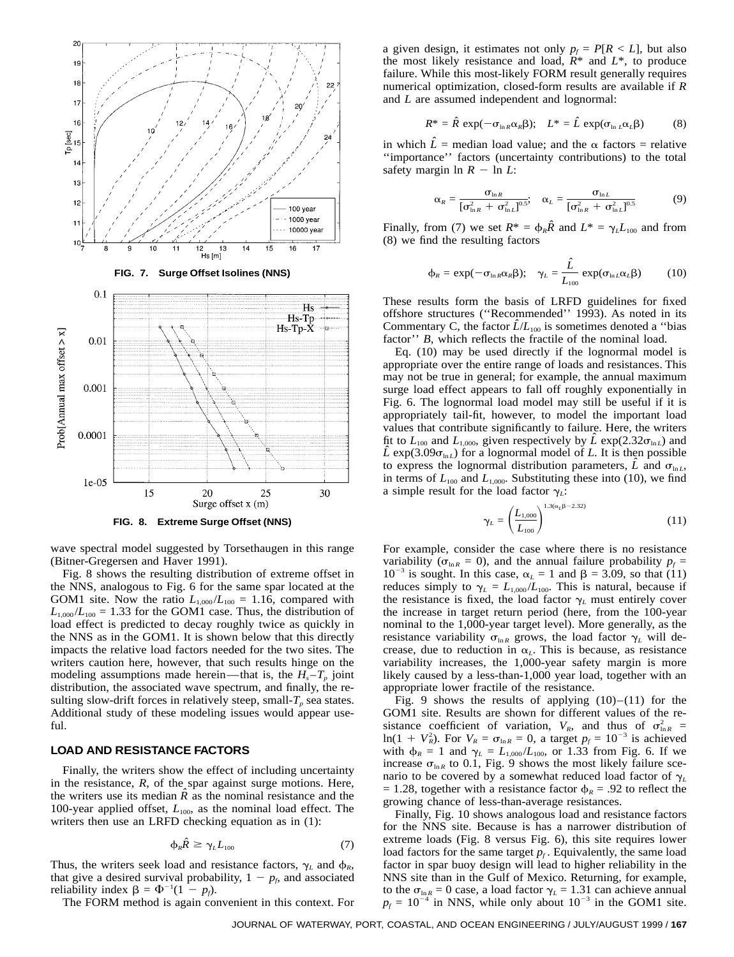

**FIG. 8. Extreme Surge Offset (NNS)**

wave spectral model suggested by Torsethaugen in this range (Bitner-Gregersen and Haver 1991).

Fig. 8 shows the resulting distribution of extreme offset in the NNS, analogous to Fig. 6 for the same spar located at the GOM1 site. Now the ratio  $L_{1,000}/L_{100} = 1.16$ , compared with  $L_{1,000}/L_{100} = 1.33$  for the GOM1 case. Thus, the distribution of load effect is predicted to decay roughly twice as quickly in the NNS as in the GOM1. It is shown below that this directly impacts the relative load factors needed for the two sites. The writers caution here, however, that such results hinge on the modeling assumptions made herein—that is, the  $H_s - T_p$  joint distribution, the associated wave spectrum, and finally, the resulting slow-drift forces in relatively steep, small- $T_p$  sea states. Additional study of these modeling issues would appear useful.

# **LOAD AND RESISTANCE FACTORS**

Finally, the writers show the effect of including uncertainty in the resistance, *R*, of the spar against surge motions. Here, the writers use its median  $\hat{R}$  as the nominal resistance and the 100-year applied offset,  $L_{100}$ , as the nominal load effect. The writers then use an LRFD checking equation as in (1):

$$
\varphi_R \hat{R} \ge \gamma_L L_{100} \tag{7}
$$

Thus, the writers seek load and resistance factors,  $\gamma_L$  and  $\phi_R$ , that give a desired survival probability,  $1 - p_f$ , and associated reliability index  $\beta = \Phi^{-1}(1 - p_f)$ .

The FORM method is again convenient in this context. For

a given design, it estimates not only  $p_f = P[R < L]$ , but also the most likely resistance and load,  $R^*$  and  $L^*$ , to produce failure. While this most-likely FORM result generally requires numerical optimization, closed-form results are available if *R* and *L* are assumed independent and lognormal:

$$
R^* = \hat{R} \exp(-\sigma_{\ln R} \alpha_R \beta); \quad L^* = \hat{L} \exp(\sigma_{\ln L} \alpha_L \beta) \tag{8}
$$

in which  $\hat{L}$  = median load value; and the  $\alpha$  factors = relative ''importance'' factors (uncertainty contributions) to the total safety margin  $\ln R - \ln L$ :

$$
\alpha_R = \frac{\sigma_{\ln R}}{[\sigma_{\ln R}^2 + \sigma_{\ln L}^2]^{0.5}}; \quad \alpha_L = \frac{\sigma_{\ln L}}{[\sigma_{\ln R}^2 + \sigma_{\ln L}^2]^{0.5}}
$$
(9)

Finally, from (7) we set  $R^* = \phi_R \hat{R}$  and  $L^* = \gamma_L L_{100}$  and from (8) we find the resulting factors

$$
\Phi_R = \exp(-\sigma_{\ln R} \alpha_R \beta); \quad \gamma_L = \frac{\hat{L}}{L_{100}} \exp(\sigma_{\ln L} \alpha_L \beta)
$$
 (10)

These results form the basis of LRFD guidelines for fixed offshore structures (''Recommended'' 1993). As noted in its Commentary C, the factor  $\hat{L}/L_{100}$  is sometimes denoted a "bias" factor'' *B*, which reflects the fractile of the nominal load.

Eq. (10) may be used directly if the lognormal model is appropriate over the entire range of loads and resistances. This may not be true in general; for example, the annual maximum surge load effect appears to fall off roughly exponentially in Fig. 6. The lognormal load model may still be useful if it is appropriately tail-fit, however, to model the important load values that contribute significantly to failure. Here, the writers fit to  $L_{100}$  and  $L_{1,000}$ , given respectively by  $\hat{L}$  exp(2.32 $\sigma_{\ln L}$ ) and  $\hat{L}$  exp(3.09 $\sigma_{\text{ln }L}$ ) for a lognormal model of *L*. It is then possible to express the lognormal distribution parameters,  $\hat{L}$  and  $\sigma_{\ln L}$ , in terms of  $L_{100}$  and  $L_{1,000}$ . Substituting these into (10), we find a simple result for the load factor  $\gamma_L$ :

$$
\gamma_L = \left(\frac{L_{1,000}}{L_{100}}\right)^{1.3(\alpha_L \beta - 2.32)}\tag{11}
$$

For example, consider the case where there is no resistance variability ( $\sigma_{\ln R} = 0$ ), and the annual failure probability  $p_f =$  $10^{-3}$  is sought. In this case,  $\alpha_L = 1$  and  $\beta = 3.09$ , so that (11) reduces simply to  $\gamma_L = L_{1,000}/L_{100}$ . This is natural, because if the resistance is fixed, the load factor  $\gamma_L$  must entirely cover the increase in target return period (here, from the 100-year nominal to the 1,000-year target level). More generally, as the resistance variability  $\sigma_{\ln R}$  grows, the load factor  $\gamma_L$  will decrease, due to reduction in  $\alpha_L$ . This is because, as resistance variability increases, the 1,000-year safety margin is more likely caused by a less-than-1,000 year load, together with an appropriate lower fractile of the resistance.

Fig. 9 shows the results of applying  $(10)$ – $(11)$  for the GOM1 site. Results are shown for different values of the resistance coefficient of variation,  $V_R$ , and thus of  $\sigma_{\ln R}^2$  =  $\ln(1 + V_R^2)$ . For  $V_R = \sigma_{\ln R} = 0$ , a target  $p_f = 10^{-3}$  is achieved with  $\phi_R = 1$  and  $\gamma_L = L_{1,000}/L_{100}$ , or 1.33 from Fig. 6. If we increase  $\sigma_{\ln R}$  to 0.1, Fig. 9 shows the most likely failure scenario to be covered by a somewhat reduced load factor of  $\gamma_L$  $= 1.28$ , together with a resistance factor  $\phi_R = .92$  to reflect the growing chance of less-than-average resistances.

Finally, Fig. 10 shows analogous load and resistance factors for the NNS site. Because is has a narrower distribution of extreme loads (Fig. 8 versus Fig. 6), this site requires lower load factors for the same target  $p_f$ . Equivalently, the same load factor in spar buoy design will lead to higher reliability in the NNS site than in the Gulf of Mexico. Returning, for example, to the  $\sigma_{\ln R} = 0$  case, a load factor  $\gamma_L = 1.31$  can achieve annual  $p_f = 10^{-4}$  in NNS, while only about  $10^{-3}$  in the GOM1 site.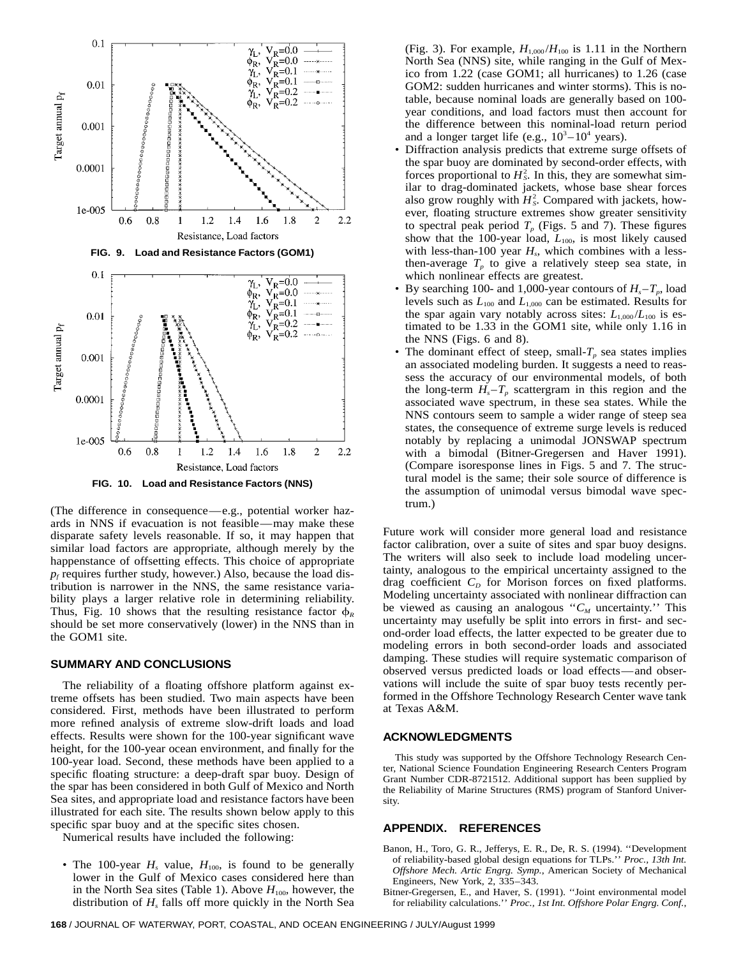

**FIG. 10. Load and Resistance Factors (NNS)**

(The difference in consequence—e.g., potential worker hazards in NNS if evacuation is not feasible—may make these disparate safety levels reasonable. If so, it may happen that similar load factors are appropriate, although merely by the happenstance of offsetting effects. This choice of appropriate  $p_f$  requires further study, however.) Also, because the load distribution is narrower in the NNS, the same resistance variability plays a larger relative role in determining reliability. Thus, Fig. 10 shows that the resulting resistance factor  $\phi_R$ should be set more conservatively (lower) in the NNS than in the GOM1 site.

# **SUMMARY AND CONCLUSIONS**

The reliability of a floating offshore platform against extreme offsets has been studied. Two main aspects have been considered. First, methods have been illustrated to perform more refined analysis of extreme slow-drift loads and load effects. Results were shown for the 100-year significant wave height, for the 100-year ocean environment, and finally for the 100-year load. Second, these methods have been applied to a specific floating structure: a deep-draft spar buoy. Design of the spar has been considered in both Gulf of Mexico and North Sea sites, and appropriate load and resistance factors have been illustrated for each site. The results shown below apply to this specific spar buoy and at the specific sites chosen.

Numerical results have included the following:

• The 100-year  $H_s$  value,  $H_{100}$ , is found to be generally lower in the Gulf of Mexico cases considered here than in the North Sea sites (Table 1). Above  $H_{100}$ , however, the distribution of *Hs* falls off more quickly in the North Sea (Fig. 3). For example,  $H_{1,000}/H_{100}$  is 1.11 in the Northern North Sea (NNS) site, while ranging in the Gulf of Mexico from 1.22 (case GOM1; all hurricanes) to 1.26 (case GOM2: sudden hurricanes and winter storms). This is notable, because nominal loads are generally based on 100 year conditions, and load factors must then account for the difference between this nominal-load return period and a longer target life (e.g.,  $10^3 - 10^4$  years).

- Diffraction analysis predicts that extreme surge offsets of the spar buoy are dominated by second-order effects, with forces proportional to  $H_s^2$ . In this, they are somewhat similar to drag-dominated jackets, whose base shear forces also grow roughly with  $H_s^2$ . Compared with jackets, however, floating structure extremes show greater sensitivity to spectral peak period  $T_p$  (Figs. 5 and 7). These figures show that the 100-year load,  $L_{100}$ , is most likely caused with less-than-100 year  $H_s$ , which combines with a lessthen-average  $T_p$  to give a relatively steep sea state, in which nonlinear effects are greatest.
- By searching 100- and 1,000-year contours of  $H_s T_p$ , load levels such as  $L_{100}$  and  $L_{1,000}$  can be estimated. Results for the spar again vary notably across sites:  $L_{1,000}/L_{100}$  is estimated to be 1.33 in the GOM1 site, while only 1.16 in the NNS (Figs. 6 and 8).
- The dominant effect of steep, small- $T_p$  sea states implies an associated modeling burden. It suggests a need to reassess the accuracy of our environmental models, of both the long-term  $H_s - T_p$  scattergram in this region and the associated wave spectrum, in these sea states. While the NNS contours seem to sample a wider range of steep sea states, the consequence of extreme surge levels is reduced notably by replacing a unimodal JONSWAP spectrum with a bimodal (Bitner-Gregersen and Haver 1991). (Compare isoresponse lines in Figs. 5 and 7. The structural model is the same; their sole source of difference is the assumption of unimodal versus bimodal wave spectrum.)

Future work will consider more general load and resistance factor calibration, over a suite of sites and spar buoy designs. The writers will also seek to include load modeling uncertainty, analogous to the empirical uncertainty assigned to the drag coefficient  $C_D$  for Morison forces on fixed platforms. Modeling uncertainty associated with nonlinear diffraction can be viewed as causing an analogous " $C_M$  uncertainty." This uncertainty may usefully be split into errors in first- and second-order load effects, the latter expected to be greater due to modeling errors in both second-order loads and associated damping. These studies will require systematic comparison of observed versus predicted loads or load effects—and observations will include the suite of spar buoy tests recently performed in the Offshore Technology Research Center wave tank at Texas A&M.

# **ACKNOWLEDGMENTS**

This study was supported by the Offshore Technology Research Center, National Science Foundation Engineering Research Centers Program Grant Number CDR-8721512. Additional support has been supplied by the Reliability of Marine Structures (RMS) program of Stanford University.

# **APPENDIX. REFERENCES**

- Banon, H., Toro, G. R., Jefferys, E. R., De, R. S. (1994). ''Development of reliability-based global design equations for TLPs.'' *Proc., 13th Int. Offshore Mech. Artic Engrg. Symp.*, American Society of Mechanical Engineers, New York, 2, 335–343.
- Bitner-Gregersen, E., and Haver, S. (1991). ''Joint environmental model for reliability calculations.'' *Proc., 1st Int. Offshore Polar Engrg. Conf.*,